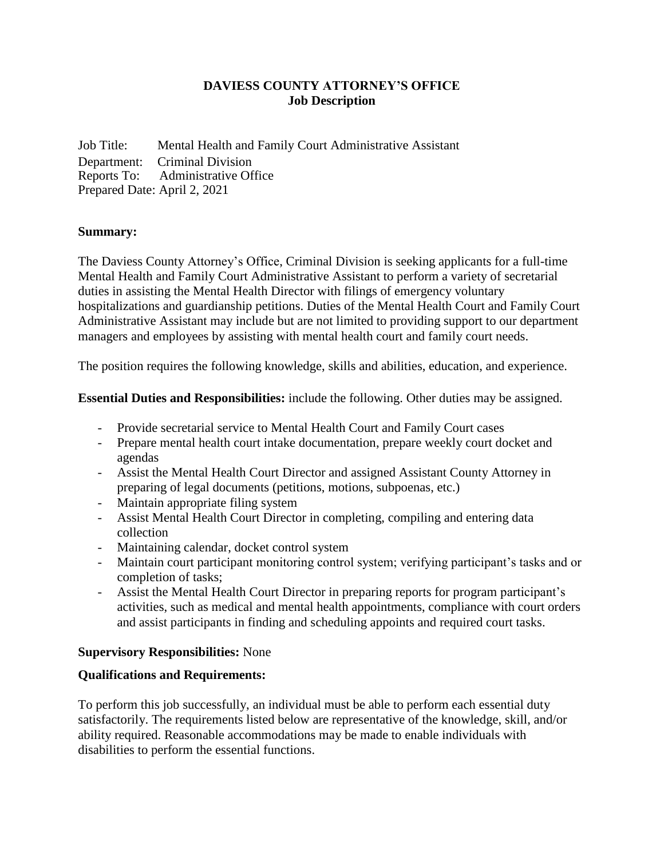# **DAVIESS COUNTY ATTORNEY'S OFFICE Job Description**

Job Title: Mental Health and Family Court Administrative Assistant Department: Criminal Division Reports To: Administrative Office Prepared Date: April 2, 2021

### **Summary:**

The Daviess County Attorney's Office, Criminal Division is seeking applicants for a full-time Mental Health and Family Court Administrative Assistant to perform a variety of secretarial duties in assisting the Mental Health Director with filings of emergency voluntary hospitalizations and guardianship petitions. Duties of the Mental Health Court and Family Court Administrative Assistant may include but are not limited to providing support to our department managers and employees by assisting with mental health court and family court needs.

The position requires the following knowledge, skills and abilities, education, and experience.

**Essential Duties and Responsibilities:** include the following. Other duties may be assigned.

- Provide secretarial service to Mental Health Court and Family Court cases
- Prepare mental health court intake documentation, prepare weekly court docket and agendas
- Assist the Mental Health Court Director and assigned Assistant County Attorney in preparing of legal documents (petitions, motions, subpoenas, etc.)
- Maintain appropriate filing system
- Assist Mental Health Court Director in completing, compiling and entering data collection
- Maintaining calendar, docket control system
- Maintain court participant monitoring control system; verifying participant's tasks and or completion of tasks;
- Assist the Mental Health Court Director in preparing reports for program participant's activities, such as medical and mental health appointments, compliance with court orders and assist participants in finding and scheduling appoints and required court tasks.

### **Supervisory Responsibilities:** None

# **Qualifications and Requirements:**

To perform this job successfully, an individual must be able to perform each essential duty satisfactorily. The requirements listed below are representative of the knowledge, skill, and/or ability required. Reasonable accommodations may be made to enable individuals with disabilities to perform the essential functions.